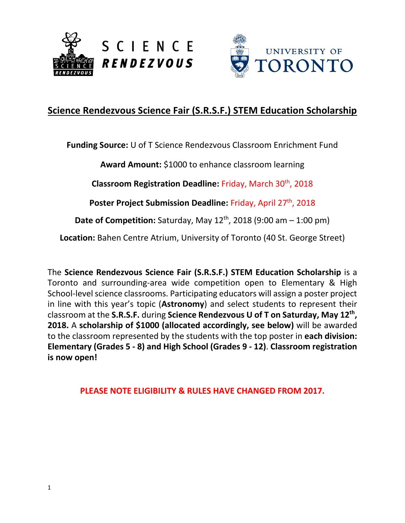



# **Science Rendezvous Science Fair (S.R.S.F.) STEM Education Scholarship**

**Funding Source:** U of T Science Rendezvous Classroom Enrichment Fund

**Award Amount:** \$1000 to enhance classroom learning

**Classroom Registration Deadline:** Friday, March 30th, 2018

Poster Project Submission Deadline: Friday, April 27<sup>th</sup>, 2018

**Date of Competition:** Saturday, May 12<sup>th</sup>, 2018 (9:00 am – 1:00 pm)

**Location:** Bahen Centre Atrium, University of Toronto (40 St. George Street)

The **Science Rendezvous Science Fair (S.R.S.F.) STEM Education Scholarship** is a Toronto and surrounding-area wide competition open to Elementary & High School-level science classrooms. Participating educators will assign a poster project in line with this year's topic (**Astronomy**) and select students to represent their classroom at the **S.R.S.F.** during **Science Rendezvous U of T on Saturday, May 12th , 2018.** A **scholarship of \$1000 (allocated accordingly, see below)** will be awarded to the classroom represented by the students with the top poster in **each division: Elementary (Grades 5 - 8) and High School (Grades 9 - 12)**. **Classroom registration is now open!**

**PLEASE NOTE ELIGIBILITY & RULES HAVE CHANGED FROM 2017.**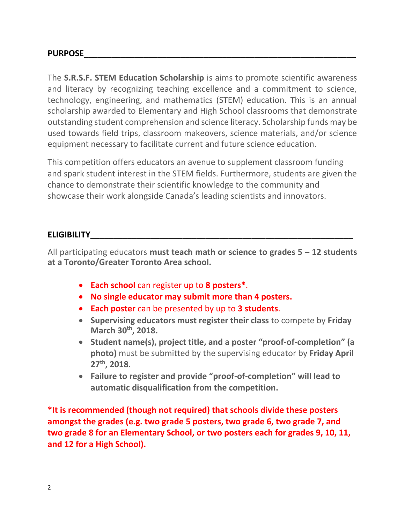The **S.R.S.F. STEM Education Scholarship** is aims to promote scientific awareness and literacy by recognizing teaching excellence and a commitment to science, technology, engineering, and mathematics (STEM) education. This is an annual scholarship awarded to Elementary and High School classrooms that demonstrate outstanding student comprehension and science literacy. Scholarship funds may be used towards field trips, classroom makeovers, science materials, and/or science equipment necessary to facilitate current and future science education.

This competition offers educators an avenue to supplement classroom funding and spark student interest in the STEM fields. Furthermore, students are given the chance to demonstrate their scientific knowledge to the community and showcase their work alongside Canada's leading scientists and innovators.

#### **ELIGIBILITY\_\_\_\_\_\_\_\_\_\_\_\_\_\_\_\_\_\_\_\_\_\_\_\_\_\_\_\_\_\_\_\_\_\_\_\_\_\_\_\_\_\_\_\_\_\_\_\_\_\_\_\_\_\_\_\_\_**

All participating educators **must teach math or science to grades 5 – 12 students at a Toronto/Greater Toronto Area school.**

- **Each school** can register up to **8 posters\***.
- **No single educator may submit more than 4 posters.**
- **Each poster** can be presented by up to **3 students**.
- **Supervising educators must register their class** to compete by **Friday March 30 th, 2018.**
- **Student name(s), project title, and a poster "proof-of-completion" (a photo)** must be submitted by the supervising educator by **Friday April 27 th, 2018**.
- **Failure to register and provide "proof-of-completion" will lead to automatic disqualification from the competition.**

**\*It is recommended (though not required) that schools divide these posters amongst the grades (e.g. two grade 5 posters, two grade 6, two grade 7, and two grade 8 for an Elementary School, or two posters each for grades 9, 10, 11, and 12 for a High School).**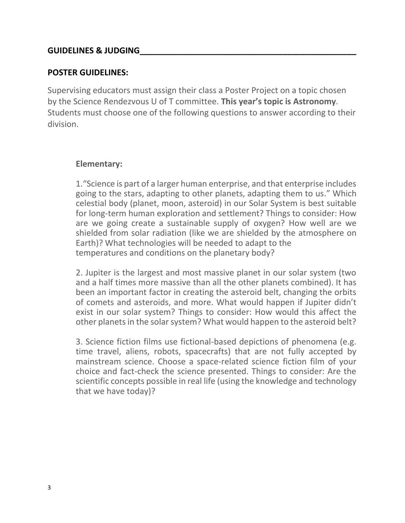#### **GUIDELINES & JUDGING\_\_\_\_\_\_\_\_\_\_\_\_\_\_\_\_\_\_\_\_\_\_\_\_\_\_\_\_\_\_\_\_\_\_\_\_\_\_\_\_\_\_\_\_\_\_\_**

#### **POSTER GUIDELINES:**

Supervising educators must assign their class a Poster Project on a topic chosen by the Science Rendezvous U of T committee. **This year's topic is Astronomy**. Students must choose one of the following questions to answer according to their division.

#### **Elementary:**

1."Science is part of a larger human enterprise, and that enterprise includes going to the stars, adapting to other planets, adapting them to us." Which celestial body (planet, moon, asteroid) in our Solar System is best suitable for long-term human exploration and settlement? Things to consider: How are we going create a sustainable supply of oxygen? How well are we shielded from solar radiation (like we are shielded by the atmosphere on Earth)? What technologies will be needed to adapt to the temperatures and conditions on the planetary body?

2. Jupiter is the largest and most massive planet in our solar system (two and a half times more massive than all the other planets combined). It has been an important factor in creating the asteroid belt, changing the orbits of comets and asteroids, and more. What would happen if Jupiter didn't exist in our solar system? Things to consider: How would this affect the other planets in the solar system? What would happen to the asteroid belt?

3. Science fiction films use fictional-based depictions of phenomena (e.g. time travel, aliens, robots, spacecrafts) that are not fully accepted by mainstream science. Choose a space-related science fiction film of your choice and fact-check the science presented. Things to consider: Are the scientific concepts possible in real life (using the knowledge and technology that we have today)?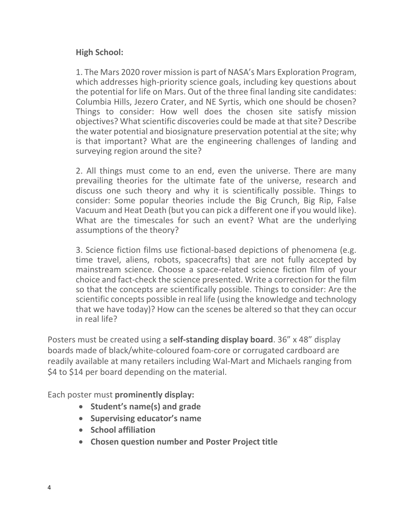### **High School:**

1. The Mars 2020 rover mission is part of NASA's Mars Exploration Program, which addresses high-priority science goals, including key questions about the potential for life on Mars. Out of the three final landing site candidates: Columbia Hills, Jezero Crater, and NE Syrtis, which one should be chosen? Things to consider: How well does the chosen site satisfy mission objectives? What scientific discoveries could be made at that site? Describe the water potential and biosignature preservation potential at the site; why is that important? What are the engineering challenges of landing and surveying region around the site?

2. All things must come to an end, even the universe. There are many prevailing theories for the ultimate fate of the universe, research and discuss one such theory and why it is scientifically possible. Things to consider: Some popular theories include the Big Crunch, Big Rip, False Vacuum and Heat Death (but you can pick a different one if you would like). What are the timescales for such an event? What are the underlying assumptions of the theory?

3. Science fiction films use fictional-based depictions of phenomena (e.g. time travel, aliens, robots, spacecrafts) that are not fully accepted by mainstream science. Choose a space-related science fiction film of your choice and fact-check the science presented. Write a correction for the film so that the concepts are scientifically possible. Things to consider: Are the scientific concepts possible in real life (using the knowledge and technology that we have today)? How can the scenes be altered so that they can occur in real life?

Posters must be created using a **self-standing display board**. 36" x 48" display boards made of black/white-coloured foam-core or corrugated cardboard are readily available at many retailers including Wal-Mart and Michaels ranging from \$4 to \$14 per board depending on the material.

Each poster must **prominently display:**

- **Student's name(s) and grade**
- **Supervising educator's name**
- **School affiliation**
- **Chosen question number and Poster Project title**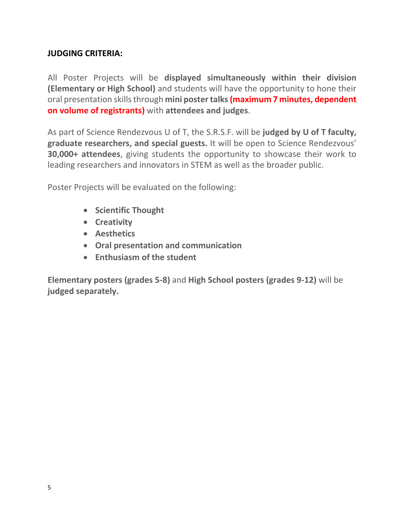## **JUDGING CRITERIA:**

All Poster Projects will be **displayed simultaneously within their division (Elementary or High School)** and students will have the opportunity to hone their oral presentation skills through **mini poster talks(maximum 7 minutes, dependent on volume of registrants)** with **attendees and judges**.

As part of Science Rendezvous U of T, the S.R.S.F. will be **judged by U of T faculty, graduate researchers, and special guests.** It will be open to Science Rendezvous' **30,000+ attendees**, giving students the opportunity to showcase their work to leading researchers and innovators in STEM as well as the broader public.

Poster Projects will be evaluated on the following:

- **Scientific Thought**
- **Creativity**
- **Aesthetics**
- **Oral presentation and communication**
- **Enthusiasm of the student**

**Elementary posters (grades 5-8)** and **High School posters (grades 9-12)** will be **judged separately.**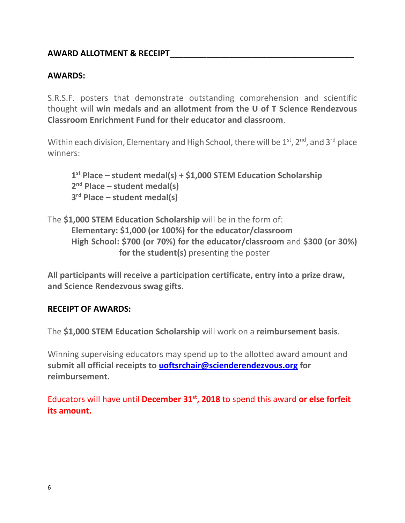### **AWARD ALLOTMENT & RECEIPT\_\_\_\_\_\_\_\_\_\_\_\_\_\_\_\_\_\_\_\_\_\_\_\_\_\_\_\_\_\_\_\_\_\_\_\_\_\_\_\_**

## **AWARDS:**

S.R.S.F. posters that demonstrate outstanding comprehension and scientific thought will **win medals and an allotment from the U of T Science Rendezvous Classroom Enrichment Fund for their educator and classroom**.

Within each division, Elementary and High School, there will be  $1<sup>st</sup>$ ,  $2<sup>nd</sup>$ , and  $3<sup>rd</sup>$  place winners:

**1 st Place – student medal(s) + \$1,000 STEM Education Scholarship 2 nd Place – student medal(s) 3 rd Place – student medal(s)**

The **\$1,000 STEM Education Scholarship** will be in the form of: **Elementary: \$1,000 (or 100%) for the educator/classroom High School: \$700 (or 70%) for the educator/classroom** and **\$300 (or 30%) for the student(s)** presenting the poster

**All participants will receive a participation certificate, entry into a prize draw, and Science Rendezvous swag gifts.** 

#### **RECEIPT OF AWARDS:**

The **\$1,000 STEM Education Scholarship** will work on a **reimbursement basis**.

Winning supervising educators may spend up to the allotted award amount and **submit all official receipts to [uoftsrchair@scienderendezvous.org](mailto:uoftsrchair@scienderendezvous.org) for reimbursement.**

Educators will have until **December 31st, 2018** to spend this award **or else forfeit its amount.**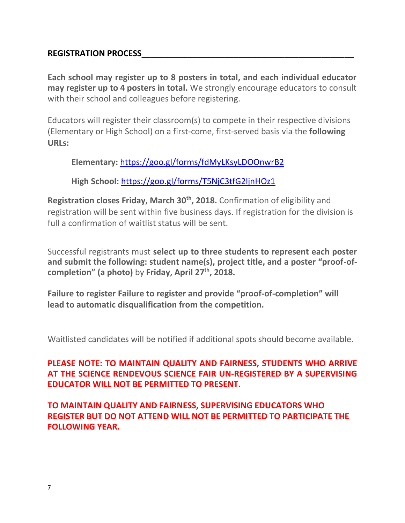#### **REGISTRATION PROCESS\_\_\_\_\_\_\_\_\_\_\_\_\_\_\_\_\_\_\_\_\_\_\_\_\_\_\_\_\_\_\_\_\_\_\_\_\_\_\_\_\_\_\_\_\_\_**

**Each school may register up to 8 posters in total, and each individual educator may register up to 4 posters in total.** We strongly encourage educators to consult with their school and colleagues before registering.

Educators will register their classroom(s) to compete in their respective divisions (Elementary or High School) on a first-come, first-served basis via the **following URLs:**

**Elementary:** <https://goo.gl/forms/fdMyLKsyLDOOnwrB2>

**High School:** <https://goo.gl/forms/T5NjC3tfG2ljnHOz1>

**Registration closes Friday, March 30th, 2018.** Confirmation of eligibility and registration will be sent within five business days. If registration for the division is full a confirmation of waitlist status will be sent.

Successful registrants must **select up to three students to represent each poster and submit the following: student name(s), project title, and a poster "proof-ofcompletion" (a photo)** by **Friday, April 27th, 2018.**

**Failure to register Failure to register and provide "proof-of-completion" will lead to automatic disqualification from the competition.**

Waitlisted candidates will be notified if additional spots should become available.

# **PLEASE NOTE: TO MAINTAIN QUALITY AND FAIRNESS, STUDENTS WHO ARRIVE AT THE SCIENCE RENDEVOUS SCIENCE FAIR UN-REGISTERED BY A SUPERVISING EDUCATOR WILL NOT BE PERMITTED TO PRESENT.**

**TO MAINTAIN QUALITY AND FAIRNESS, SUPERVISING EDUCATORS WHO REGISTER BUT DO NOT ATTEND WILL NOT BE PERMITTED TO PARTICIPATE THE FOLLOWING YEAR.**